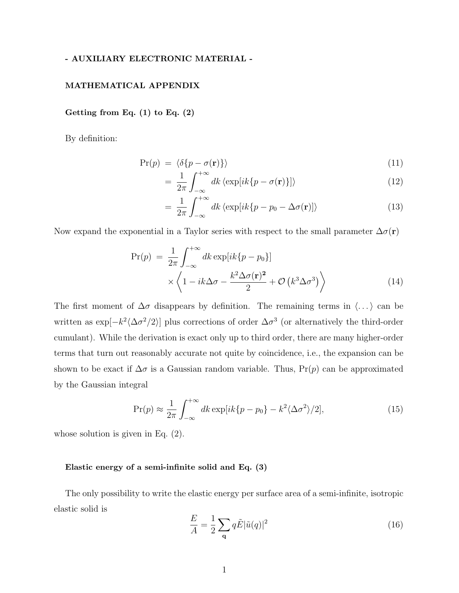# - AUXILIARY ELECTRONIC MATERIAL -

### MATHEMATICAL APPENDIX

## Getting from Eq.  $(1)$  to Eq.  $(2)$

By definition:

$$
Pr(p) = \langle \delta\{p - \sigma(\mathbf{r})\}\rangle \tag{11}
$$

$$
= \frac{1}{2\pi} \int_{-\infty}^{+\infty} dk \langle \exp[i k \{p - \sigma(\mathbf{r})\}] \rangle \tag{12}
$$

$$
= \frac{1}{2\pi} \int_{-\infty}^{+\infty} dk \langle \exp[ik\{p - p_0 - \Delta\sigma(\mathbf{r})] \rangle \tag{13}
$$

Now expand the exponential in a Taylor series with respect to the small parameter  $\Delta \sigma(\mathbf{r})$ 

$$
\Pr(p) = \frac{1}{2\pi} \int_{-\infty}^{+\infty} dk \exp[ik\{p - p_0\}] \times \left\langle 1 - ik\Delta\sigma - \frac{k^2 \Delta\sigma(\mathbf{r})^2}{2} + \mathcal{O}\left(k^3 \Delta\sigma^3\right) \right\rangle
$$
\n(14)

The first moment of  $\Delta \sigma$  disappears by definition. The remaining terms in  $\langle \ldots \rangle$  can be written as  $\exp[-k^2 \langle \Delta \sigma^2/2 \rangle]$  plus corrections of order  $\Delta \sigma^3$  (or alternatively the third-order cumulant). While the derivation is exact only up to third order, there are many higher-order terms that turn out reasonably accurate not quite by coincidence, i.e., the expansion can be shown to be exact if  $\Delta \sigma$  is a Gaussian random variable. Thus, Pr(p) can be approximated by the Gaussian integral

$$
\Pr(p) \approx \frac{1}{2\pi} \int_{-\infty}^{+\infty} dk \exp[ik\{p - p_0\} - k^2 \langle \Delta \sigma^2 \rangle / 2],\tag{15}
$$

whose solution is given in Eq. (2).

### Elastic energy of a semi-infinite solid and Eq. (3)

The only possibility to write the elastic energy per surface area of a semi-infinite, isotropic elastic solid is

$$
\frac{E}{A} = \frac{1}{2} \sum_{\mathbf{q}} q \tilde{E} |\tilde{u}(q)|^2
$$
 (16)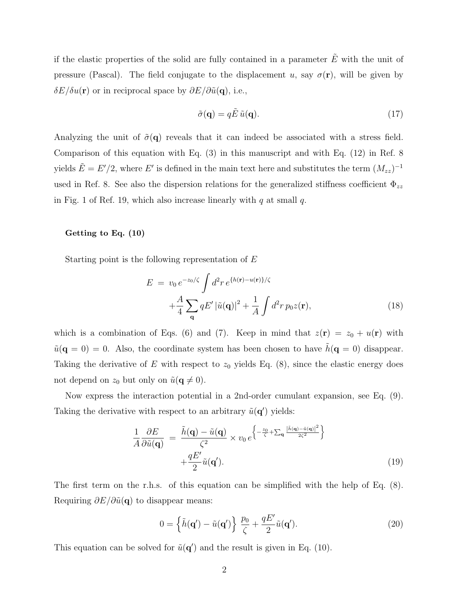if the elastic properties of the solid are fully contained in a parameter  $\tilde{E}$  with the unit of pressure (Pascal). The field conjugate to the displacement u, say  $\sigma(\mathbf{r})$ , will be given by  $\delta E/\delta u(\mathbf{r})$  or in reciprocal space by  $\partial E/\partial \tilde{u}(\mathbf{q})$ , i.e.,

$$
\tilde{\sigma}(\mathbf{q}) = q\tilde{E}\,\tilde{u}(\mathbf{q}).\tag{17}
$$

Analyzing the unit of  $\tilde{\sigma}(\mathbf{q})$  reveals that it can indeed be associated with a stress field. Comparison of this equation with Eq. (3) in this manuscript and with Eq. (12) in Ref. 8 yields  $\tilde{E} = E'/2$ , where  $E'$  is defined in the main text here and substitutes the term  $(M_{zz})^{-1}$ used in Ref. 8. See also the dispersion relations for the generalized stiffness coefficient  $\Phi_{zz}$ in Fig. 1 of Ref. 19, which also increase linearly with  $q$  at small  $q$ .

#### Getting to Eq. (10)

Starting point is the following representation of  $E$ 

$$
E = v_0 e^{-z_0/\zeta} \int d^2 r e^{\{h(\mathbf{r}) - u(\mathbf{r})\}/\zeta}
$$

$$
+ \frac{A}{4} \sum_{\mathbf{q}} q E' |\tilde{u}(\mathbf{q})|^2 + \frac{1}{A} \int d^2 r \, p_0 z(\mathbf{r}), \tag{18}
$$

which is a combination of Eqs. (6) and (7). Keep in mind that  $z(\mathbf{r}) = z_0 + u(\mathbf{r})$  with  $\tilde{u}(\mathbf{q} = 0) = 0$ . Also, the coordinate system has been chosen to have  $\tilde{h}(\mathbf{q} = 0)$  disappear. Taking the derivative of E with respect to  $z_0$  yields Eq. (8), since the elastic energy does not depend on  $z_0$  but only on  $\tilde{u}(\mathbf{q} \neq 0)$ .

Now express the interaction potential in a 2nd-order cumulant expansion, see Eq. (9). Taking the derivative with respect to an arbitrary  $\tilde{u}(\mathbf{q}')$  yields:

$$
\frac{1}{A}\frac{\partial E}{\partial \tilde{u}(\mathbf{q})} = \frac{\tilde{h}(\mathbf{q}) - \tilde{u}(\mathbf{q})}{\zeta^2} \times v_0 e^{\left\{-\frac{z_0}{\zeta} + \sum_{\mathbf{q}} \frac{|\tilde{h}(\mathbf{q}) - \tilde{u}(\mathbf{q})|^2}{2\zeta^2}\right\}} + \frac{qE'}{2}\tilde{u}(\mathbf{q}').
$$
\n(19)

The first term on the r.h.s. of this equation can be simplified with the help of Eq. (8). Requiring  $\partial E/\partial \tilde{u}(\mathbf{q})$  to disappear means:

$$
0 = \left\{ \tilde{h}(\mathbf{q}') - \tilde{u}(\mathbf{q}') \right\} \frac{p_0}{\zeta} + \frac{qE'}{2} \tilde{u}(\mathbf{q}'). \tag{20}
$$

This equation can be solved for  $\tilde{u}(\mathbf{q}')$  and the result is given in Eq. (10).